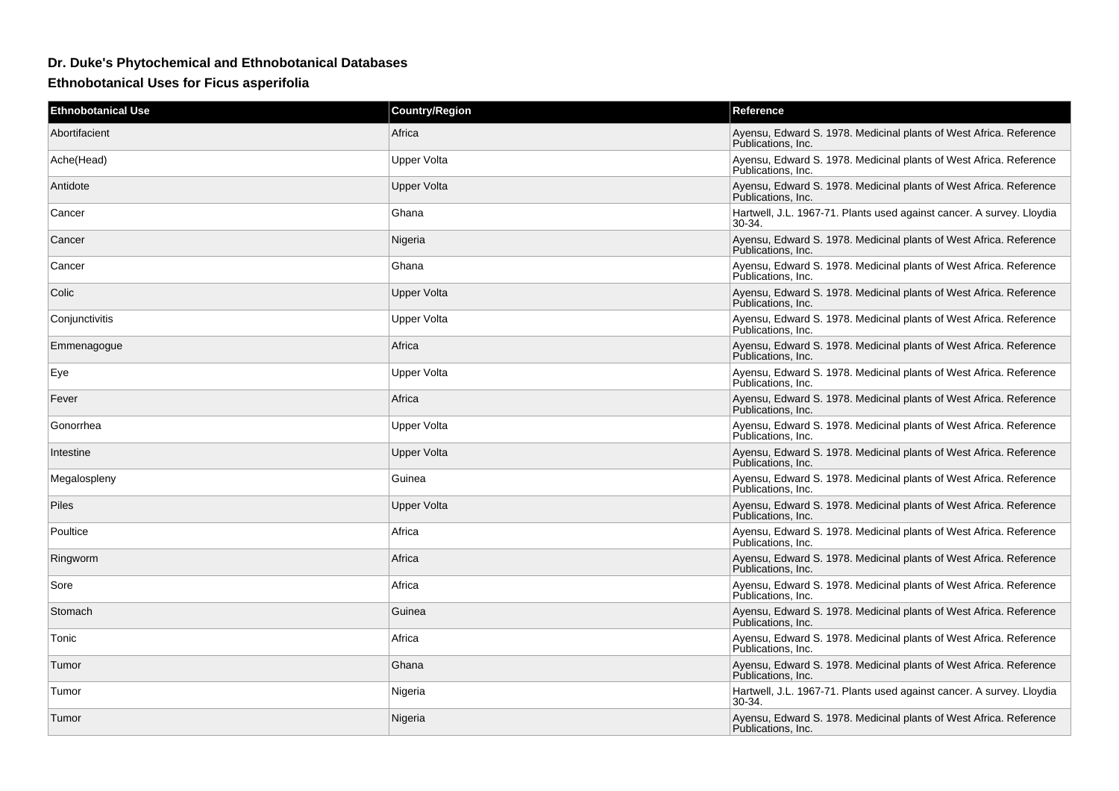## **Dr. Duke's Phytochemical and Ethnobotanical Databases**

**Ethnobotanical Uses for Ficus asperifolia**

| <b>Ethnobotanical Use</b> | <b>Country/Region</b> | Reference                                                                                |
|---------------------------|-----------------------|------------------------------------------------------------------------------------------|
| Abortifacient             | Africa                | Ayensu, Edward S. 1978. Medicinal plants of West Africa. Reference<br>Publications. Inc. |
| Ache(Head)                | Upper Volta           | Ayensu, Edward S. 1978. Medicinal plants of West Africa. Reference<br>Publications. Inc. |
| Antidote                  | <b>Upper Volta</b>    | Ayensu, Edward S. 1978. Medicinal plants of West Africa. Reference<br>Publications, Inc. |
| Cancer                    | Ghana                 | Hartwell, J.L. 1967-71. Plants used against cancer. A survey. Lloydia<br>30-34.          |
| Cancer                    | Nigeria               | Ayensu, Edward S. 1978. Medicinal plants of West Africa. Reference<br>Publications, Inc. |
| Cancer                    | Ghana                 | Ayensu, Edward S. 1978. Medicinal plants of West Africa. Reference<br>Publications. Inc. |
| Colic                     | Upper Volta           | Ayensu, Edward S. 1978. Medicinal plants of West Africa. Reference<br>Publications, Inc. |
| Conjunctivitis            | Upper Volta           | Ayensu, Edward S. 1978. Medicinal plants of West Africa. Reference<br>Publications, Inc. |
| Emmenagogue               | Africa                | Ayensu, Edward S. 1978. Medicinal plants of West Africa. Reference<br>Publications, Inc. |
| Eye                       | Upper Volta           | Ayensu, Edward S. 1978. Medicinal plants of West Africa. Reference<br>Publications, Inc. |
| Fever                     | Africa                | Ayensu, Edward S. 1978. Medicinal plants of West Africa. Reference<br>Publications, Inc. |
| Gonorrhea                 | Upper Volta           | Ayensu, Edward S. 1978. Medicinal plants of West Africa. Reference<br>Publications, Inc. |
| Intestine                 | <b>Upper Volta</b>    | Ayensu, Edward S. 1978. Medicinal plants of West Africa. Reference<br>Publications. Inc. |
| Megalospleny              | Guinea                | Ayensu, Edward S. 1978. Medicinal plants of West Africa. Reference<br>Publications. Inc. |
| <b>Piles</b>              | <b>Upper Volta</b>    | Ayensu, Edward S. 1978. Medicinal plants of West Africa. Reference<br>Publications, Inc. |
| Poultice                  | Africa                | Ayensu, Edward S. 1978. Medicinal plants of West Africa. Reference<br>Publications, Inc. |
| Ringworm                  | Africa                | Ayensu, Edward S. 1978. Medicinal plants of West Africa. Reference<br>Publications, Inc. |
| Sore                      | Africa                | Ayensu, Edward S. 1978. Medicinal plants of West Africa. Reference<br>Publications. Inc. |
| Stomach                   | Guinea                | Ayensu, Edward S. 1978. Medicinal plants of West Africa. Reference<br>Publications, Inc. |
| Tonic                     | Africa                | Ayensu, Edward S. 1978. Medicinal plants of West Africa. Reference<br>Publications, Inc. |
| Tumor                     | Ghana                 | Ayensu, Edward S. 1978. Medicinal plants of West Africa. Reference<br>Publications, Inc. |
| Tumor                     | Nigeria               | Hartwell, J.L. 1967-71. Plants used against cancer. A survey. Lloydia<br>30-34.          |
| Tumor                     | Nigeria               | Ayensu, Edward S. 1978. Medicinal plants of West Africa. Reference<br>Publications. Inc. |